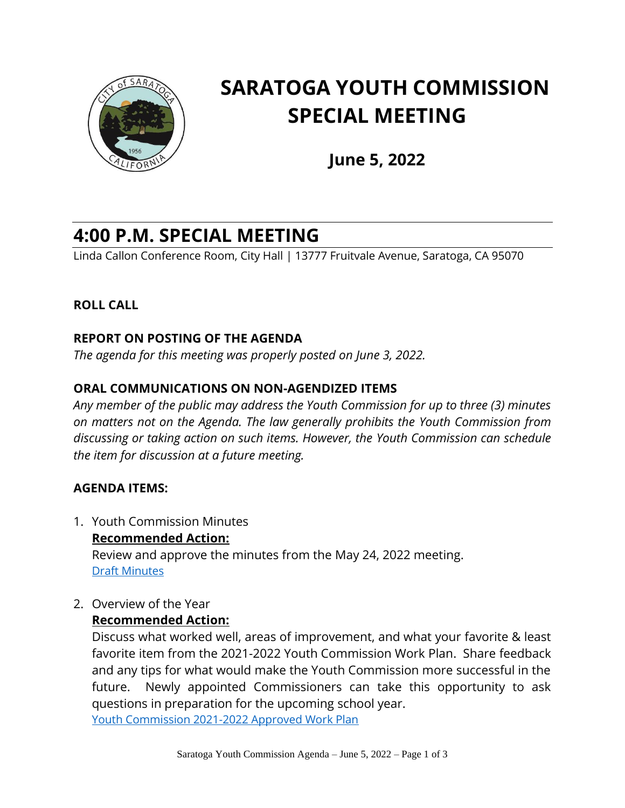

# **SARATOGA YOUTH COMMISSION SPECIAL MEETING**

**June 5, 2022**

# **4:00 P.M. SPECIAL MEETING**

Linda Callon Conference Room, City Hall | 13777 Fruitvale Avenue, Saratoga, CA 95070

# **ROLL CALL**

# **REPORT ON POSTING OF THE AGENDA**

*The agenda for this meeting was properly posted on June 3, 2022.*

# **ORAL COMMUNICATIONS ON NON-AGENDIZED ITEMS**

*Any member of the public may address the Youth Commission for up to three (3) minutes on matters not on the Agenda. The law generally prohibits the Youth Commission from discussing or taking action on such items. However, the Youth Commission can schedule the item for discussion at a future meeting.* 

#### **AGENDA ITEMS:**

- 1. Youth Commission Minutes **Recommended Action:** Review and approve the minutes from the May 24, 2022 meeting. [Draft Minutes](https://legistarweb-production.s3.amazonaws.com/uploads/attachment/attachment/1410718/2022_05_24_MINUTES_Regular_Meeting_.pdf)
- 2. Overview of the Year

#### **Recommended Action:**

Discuss what worked well, areas of improvement, and what your favorite & least favorite item from the 2021-2022 Youth Commission Work Plan. Share feedback and any tips for what would make the Youth Commission more successful in the future. Newly appointed Commissioners can take this opportunity to ask questions in preparation for the upcoming school year. [Youth Commission 2021-2022 Approved Work Plan](https://legistarweb-production.s3.amazonaws.com/uploads/attachment/pdf/1410577/2021_09_15_Youth_Commission_2021-2022_Work_Plan.pdf)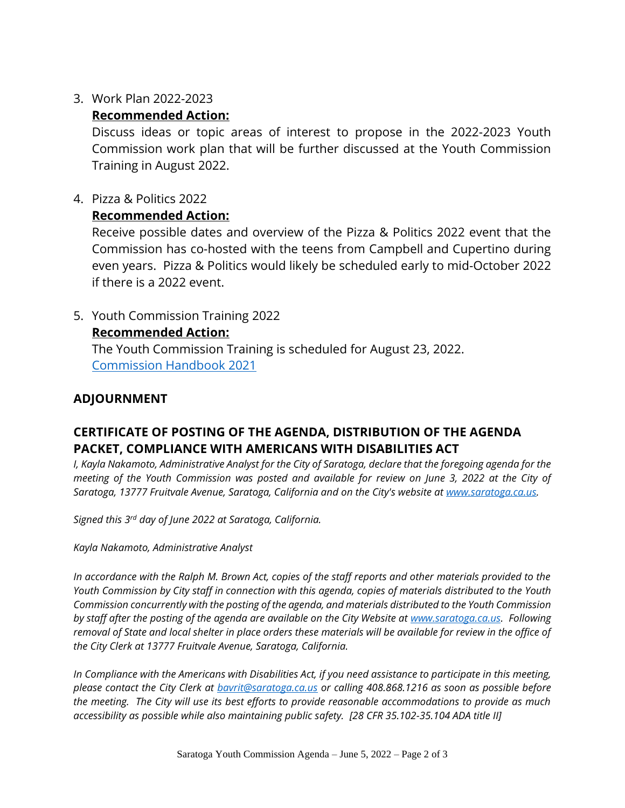3. Work Plan 2022-2023

# **Recommended Action:**

Discuss ideas or topic areas of interest to propose in the 2022-2023 Youth Commission work plan that will be further discussed at the Youth Commission Training in August 2022.

4. Pizza & Politics 2022

#### **Recommended Action:**

Receive possible dates and overview of the Pizza & Politics 2022 event that the Commission has co-hosted with the teens from Campbell and Cupertino during even years. Pizza & Politics would likely be scheduled early to mid-October 2022 if there is a 2022 event.

5. Youth Commission Training 2022

#### **Recommended Action:**

The Youth Commission Training is scheduled for August 23, 2022. [Commission Handbook 2021](https://legistarweb-production.s3.amazonaws.com/uploads/attachment/attachment/1410589/Commission_Handbook_2021.pdf)

# **ADJOURNMENT**

# **CERTIFICATE OF POSTING OF THE AGENDA, DISTRIBUTION OF THE AGENDA PACKET, COMPLIANCE WITH AMERICANS WITH DISABILITIES ACT**

*I, Kayla Nakamoto, Administrative Analyst for the City of Saratoga, declare that the foregoing agenda for the meeting of the Youth Commission was posted and available for review on June 3, 2022 at the City of Saratoga, 13777 Fruitvale Avenue, Saratoga, California and on the City's website at [www.saratoga.ca.us.](https://protect-us.mimecast.com/s/bAn5CrkEm2FxLjQS7J9kT?domain=saratoga.ca.us)* 

*Signed this 3 rd day of June 2022 at Saratoga, California.* 

*Kayla Nakamoto, Administrative Analyst*

*In accordance with the Ralph M. Brown Act, copies of the staff reports and other materials provided to the Youth Commission by City staff in connection with this agenda, copies of materials distributed to the Youth Commission concurrently with the posting of the agenda, and materials distributed to the Youth Commission by staff after the posting of the agenda are available on the City Website at [www.saratoga.ca.us.](https://protect-us.mimecast.com/s/bAn5CrkEm2FxLjQS7J9kT?domain=saratoga.ca.us) Following removal of State and local shelter in place orders these materials will be available for review in the office of the City Clerk at 13777 Fruitvale Avenue, Saratoga, California.* 

*In Compliance with the Americans with Disabilities Act, if you need assistance to participate in this meeting, please contact the City Clerk at [bavrit@saratoga.ca.us](mailto:bavrit@saratoga.ca.us) or calling 408.868.1216 as soon as possible before the meeting. The City will use its best efforts to provide reasonable accommodations to provide as much accessibility as possible while also maintaining public safety. [28 CFR 35.102-35.104 ADA title II]*